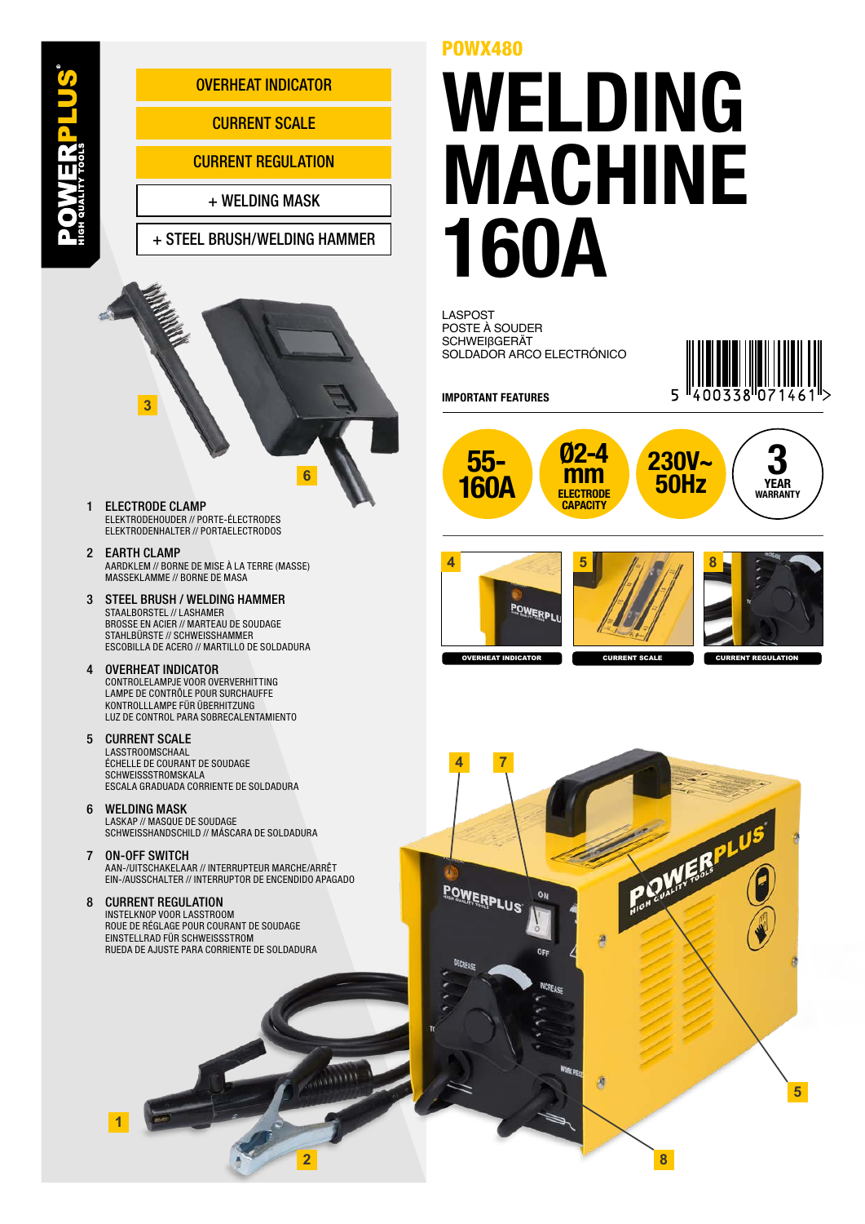

**2**

## WELDING MACHINE 160A

POSTE À SOUDER SCHWEIβGERÄT SOLDADOR ARCO ELECTRÓNICO